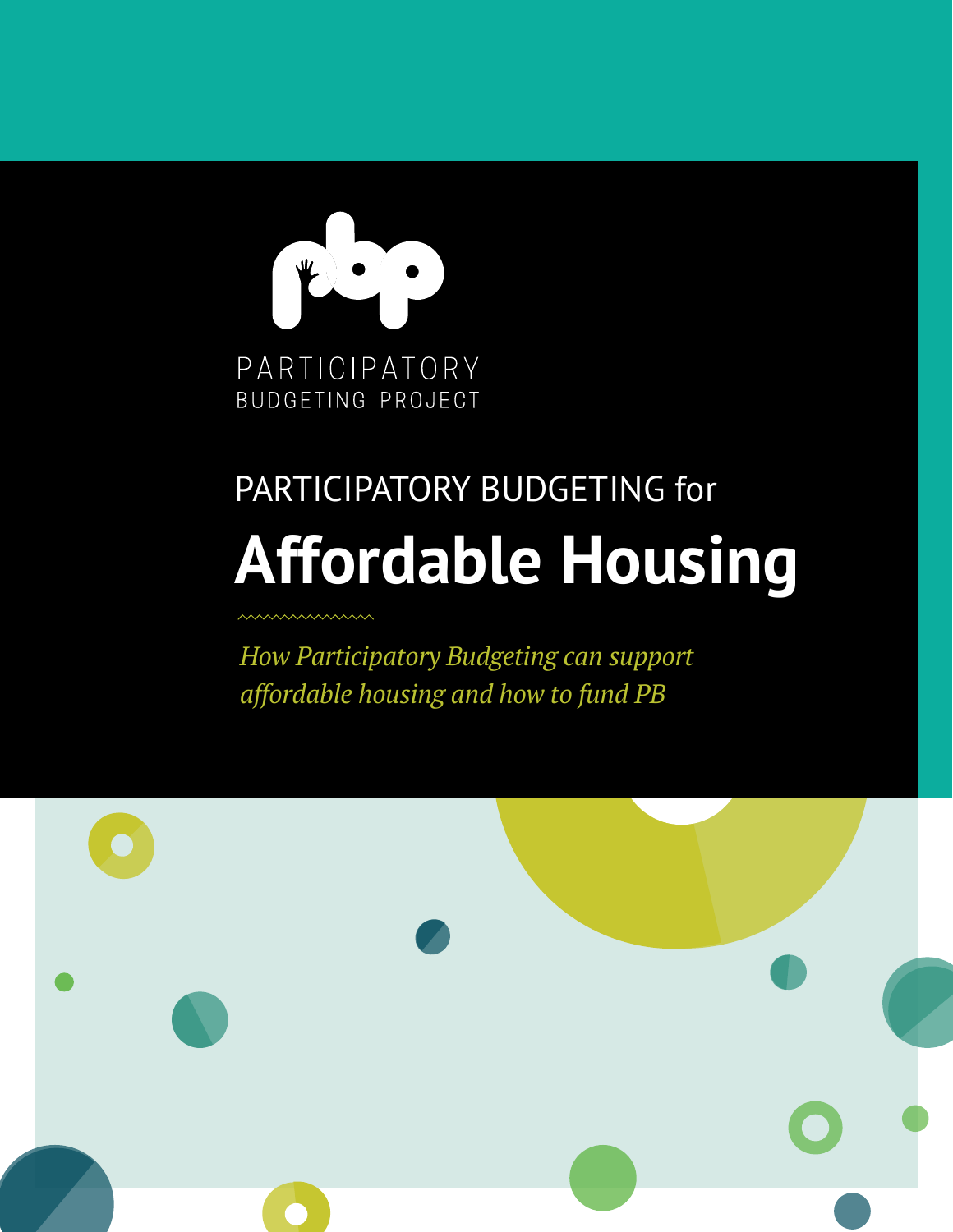

# **Affordable Housing** PARTICIPATORY BUDGETING for

*How Participatory Budgeting can support affordable housing and how to fund PB*

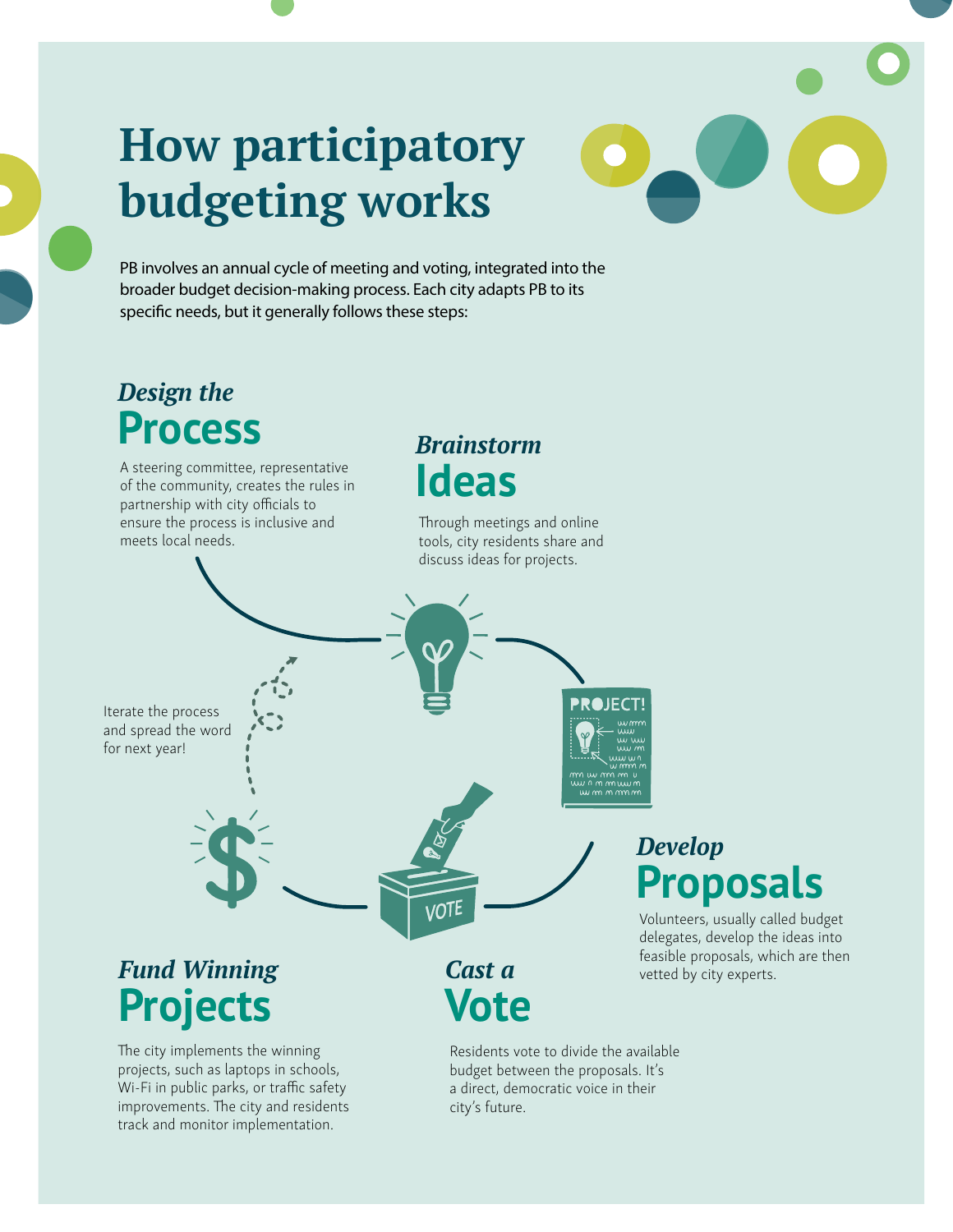# **How participatory budgeting works**

#### PB involves an annual cycle of meeting and voting, integrated into the broader budget decision-making process. Each city adapts PB to its specific needs, but it generally follows these steps:

#### *Design the* **Process** *Brainstorm* A steering committee, representative **Ideas** of the community, creates the rules in partnership with city officials to ensure the process is inclusive and Through meetings and online meets local needs. tools, city residents share and discuss ideas for projects. **PROJECT** Iterate the process and spread the word for next year! *Develop* **Proposals** ./N Volunteers, usually called budget delegates, develop the ideas into feasible proposals, which are then *Fund Winning Cast a* vetted by city experts. **Vote Projects** The city implements the winning Residents vote to divide the available

projects, such as laptops in schools, Wi-Fi in public parks, or traffic safety improvements. The city and residents track and monitor implementation.

budget between the proposals. It's a direct, democratic voice in their city's future.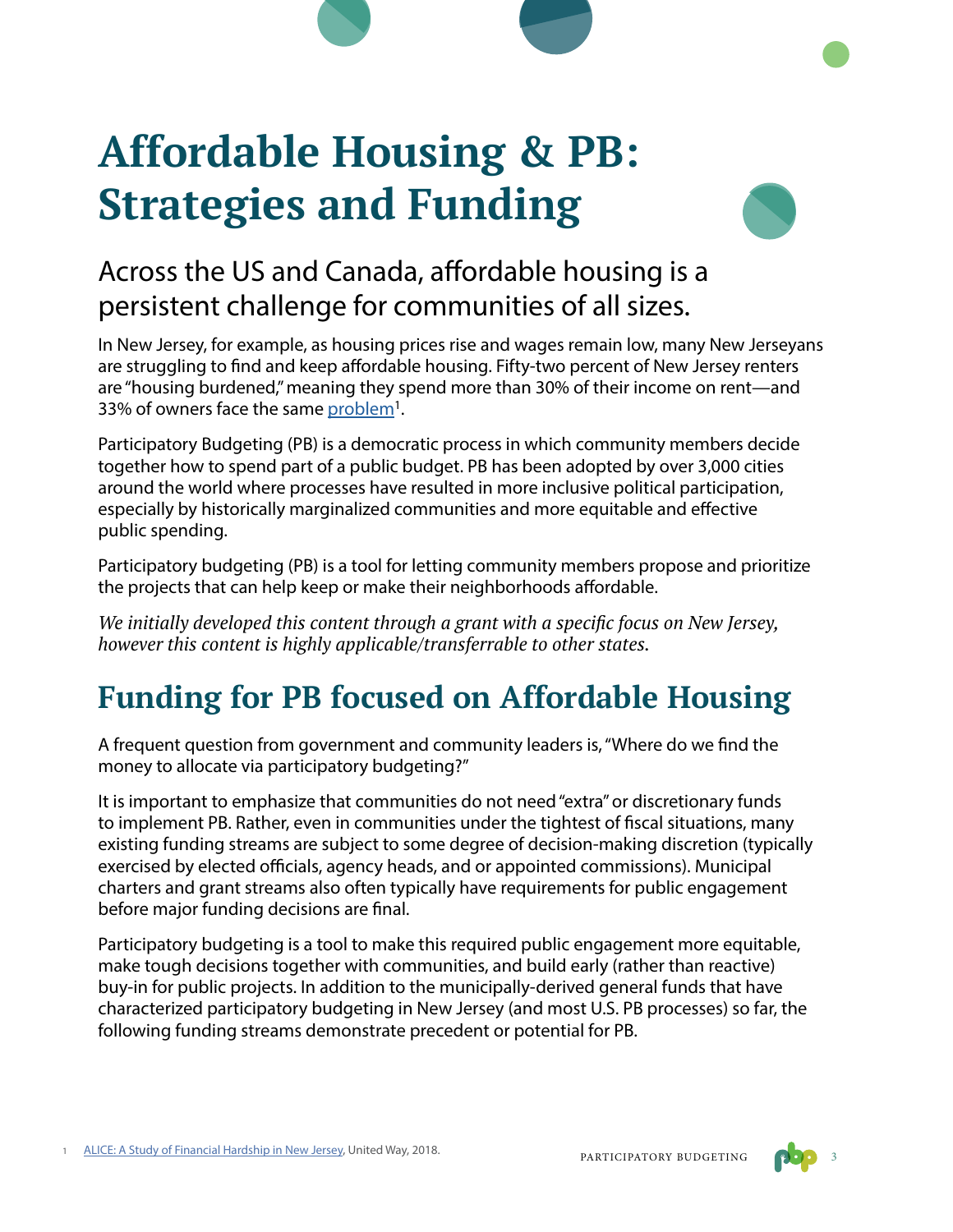# **Affordable Housing & PB: Strategies and Funding**



## Across the US and Canada, affordable housing is a persistent challenge for communities of all sizes.

In New Jersey, for example, as housing prices rise and wages remain low, many New Jerseyans are struggling to find and keep affordable housing. Fifty-two percent of New Jersey renters are "housing burdened," meaning they spend more than 30% of their income on rent—and 33% of owners face the same problem<sup>1</sup>.

Participatory Budgeting (PB) is a democratic process in which community members decide together how to spend part of a public budget. PB has been adopted by over 3,000 cities around the world where processes have resulted in more inclusive political participation, especially by historically marginalized communities and more equitable and effective public spending.

Participatory budgeting (PB) is a tool for letting community members propose and prioritize the projects that can help keep or make their neighborhoods affordable.

*We initially developed this content through a grant with a specific focus on New Jersey, however this content is highly applicable/transferrable to other states.* 

## **Funding for PB focused on Affordable Housing**

A frequent question from government and community leaders is, "Where do we find the money to allocate via participatory budgeting?"

It is important to emphasize that communities do not need "extra" or discretionary funds to implement PB. Rather, even in communities under the tightest of fiscal situations, many existing funding streams are subject to some degree of decision-making discretion (typically exercised by elected officials, agency heads, and or appointed commissions). Municipal charters and grant streams also often typically have requirements for public engagement before major funding decisions are final.

Participatory budgeting is a tool to make this required public engagement more equitable, make tough decisions together with communities, and build early (rather than reactive) buy-in for public projects. In addition to the municipally-derived general funds that have characterized participatory budgeting in New Jersey (and most U.S. PB processes) so far, the following funding streams demonstrate precedent or potential for PB.

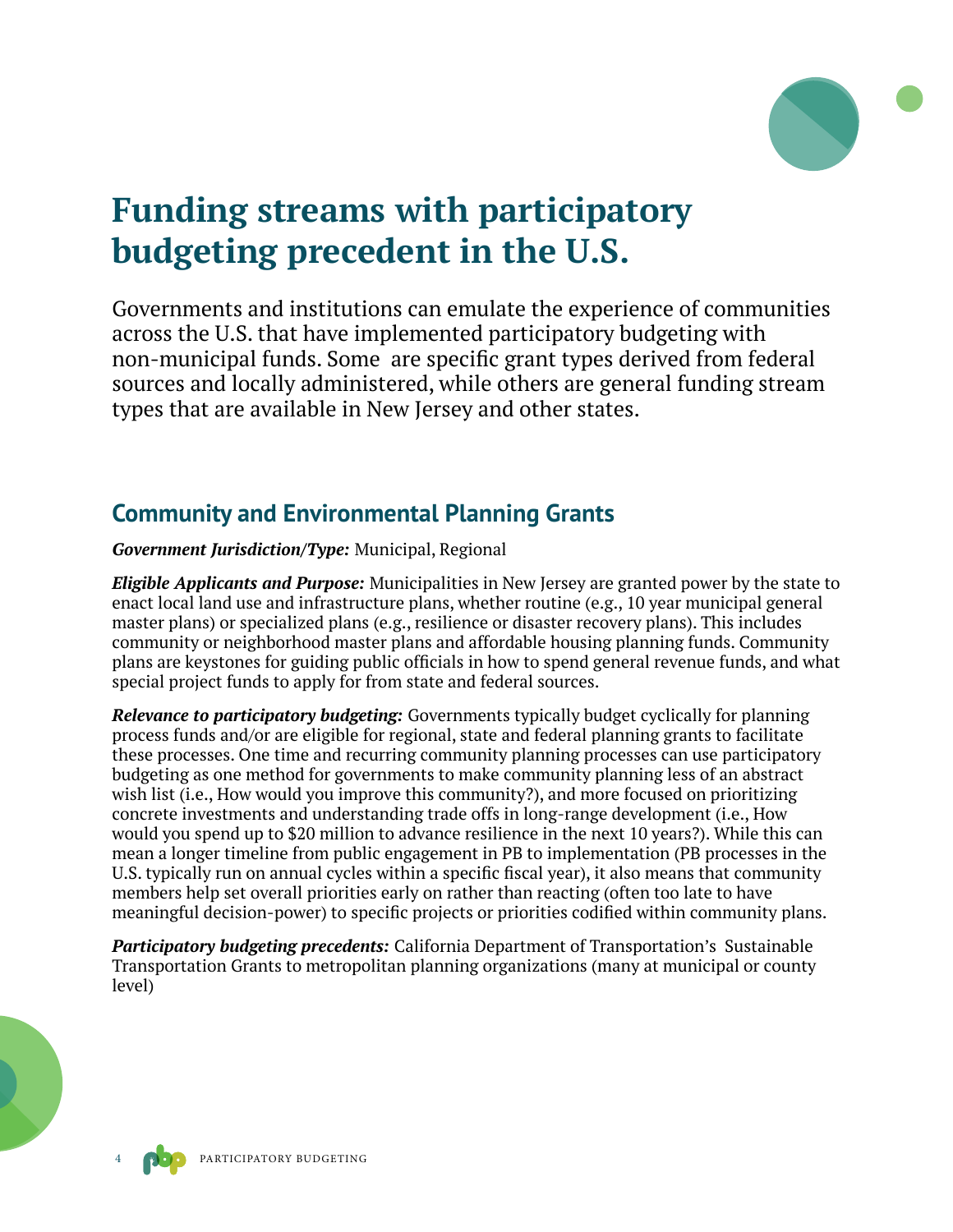

## **Funding streams with participatory budgeting precedent in the U.S.**

Governments and institutions can emulate the experience of communities across the U.S. that have implemented participatory budgeting with non-municipal funds. Some are specific grant types derived from federal sources and locally administered, while others are general funding stream types that are available in New Jersey and other states.

#### **Community and Environmental Planning Grants**

*Government Jurisdiction/Type:* Municipal, Regional

*Eligible Applicants and Purpose:* Municipalities in New Jersey are granted power by the state to enact local land use and infrastructure plans, whether routine (e.g., 10 year municipal general master plans) or specialized plans (e.g., resilience or disaster recovery plans). This includes community or neighborhood master plans and affordable housing planning funds. Community plans are keystones for guiding public officials in how to spend general revenue funds, and what special project funds to apply for from state and federal sources.

*Relevance to participatory budgeting:* Governments typically budget cyclically for planning process funds and/or are eligible for regional, state and federal planning grants to facilitate these processes. One time and recurring community planning processes can use participatory budgeting as one method for governments to make community planning less of an abstract wish list (i.e., How would you improve this community?), and more focused on prioritizing concrete investments and understanding trade offs in long-range development (i.e., How would you spend up to \$20 million to advance resilience in the next 10 years?). While this can mean a longer timeline from public engagement in PB to implementation (PB processes in the U.S. typically run on annual cycles within a specific fiscal year), it also means that community members help set overall priorities early on rather than reacting (often too late to have meaningful decision-power) to specific projects or priorities codified within community plans.

*Participatory budgeting precedents:* California Department of Transportation's Sustainable Transportation Grants to metropolitan planning organizations (many at municipal or county level)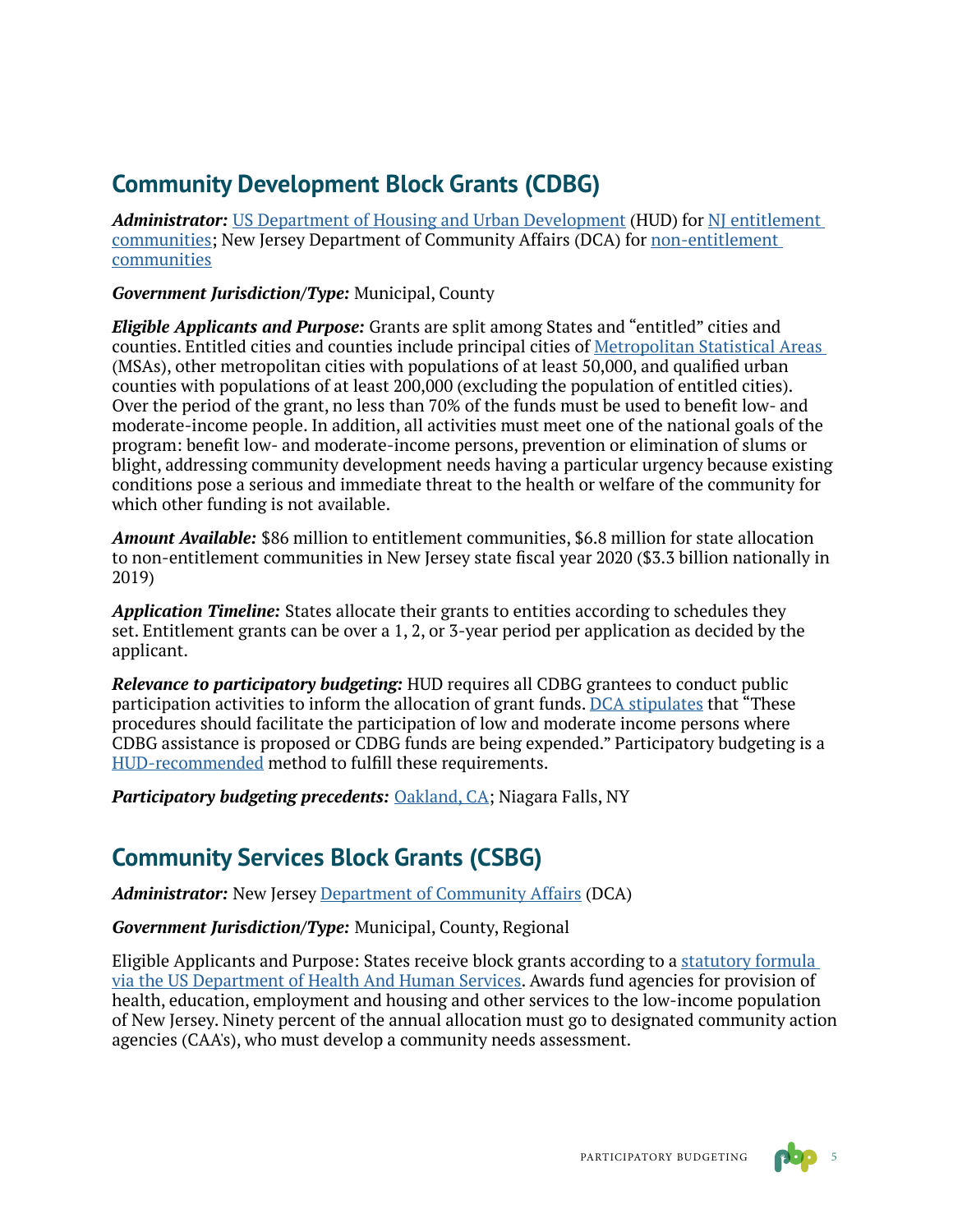### **Community Development Block Grants (CDBG)**

*Administrator:* [US Department of Housing and Urban Development](https://www.hud.gov/program_offices/comm_planning/communitydevelopment/programs) (HUD) for [NJ entitlement](https://www.hud.gov/states/new_jersey/community/cdbg)  [communities](https://www.hud.gov/states/new_jersey/community/cdbg); New Jersey Department of Community Affairs (DCA) for [non-entitlement](https://www.nj.gov/dca/divisions/dhcr/offices/cdbg.html)  [communities](https://www.nj.gov/dca/divisions/dhcr/offices/cdbg.html)

*Government Jurisdiction/Type:* Municipal, County

*Eligible Applicants and Purpose:* Grants are split among States and "entitled" cities and counties. Entitled cities and counties include principal cities of [Metropolitan Statistical Areas](https://www.census.gov/programs-surveys/metro-micro/about.html)  (MSAs), other metropolitan cities with populations of at least 50,000, and qualified urban counties with populations of at least 200,000 (excluding the population of entitled cities). Over the period of the grant, no less than 70% of the funds must be used to benefit low- and moderate-income people. In addition, all activities must meet one of the national goals of the program: benefit low- and moderate-income persons, prevention or elimination of slums or blight, addressing community development needs having a particular urgency because existing conditions pose a serious and immediate threat to the health or welfare of the community for which other funding is not available.

*Amount Available:* \$86 million to entitlement communities, \$6.8 million for state allocation to non-entitlement communities in New Jersey state fiscal year 2020 (\$3.3 billion nationally in 2019)

*Application Timeline:* States allocate their grants to entities according to schedules they set. Entitlement grants can be over a 1, 2, or 3-year period per application as decided by the applicant.

*Relevance to participatory budgeting:* HUD requires all CDBG grantees to conduct public participation activities to inform the allocation of grant funds. [DCA stipulates](https://www.nj.gov/dca/divisions/dhcr/offices/docs/sccdbg/cdbgcphandbk.doc) that "These procedures should facilitate the participation of low and moderate income persons where CDBG assistance is proposed or CDBG funds are being expended." Participatory budgeting is a [HUD-recommended](https://www.hudexchange.info/programs/participatory-budgeting/) method to fulfill these requirements.

*Participatory budgeting precedents: [Oakland, CA](https://pboakland.org/page/about); Niagara Falls, NY* 

### **Community Services Block Grants (CSBG)**

*Administrator:* New Jersey [Department of Community Affairs](https://www.nj.gov/dca/divisions/dhcr/offices/comact.html) (DCA)

*Government Jurisdiction/Type:* Municipal, County, Regional

Eligible Applicants and Purpose: States receive block grants according to a [statutory formula](https://www.acf.hhs.gov/ocs/programs/csbg/about)  [via the US Department of Health And Human Services](https://www.acf.hhs.gov/ocs/programs/csbg/about). Awards fund agencies for provision of health, education, employment and housing and other services to the low-income population of New Jersey. Ninety percent of the annual allocation must go to designated community action agencies (CAA's), who must develop a community needs assessment.

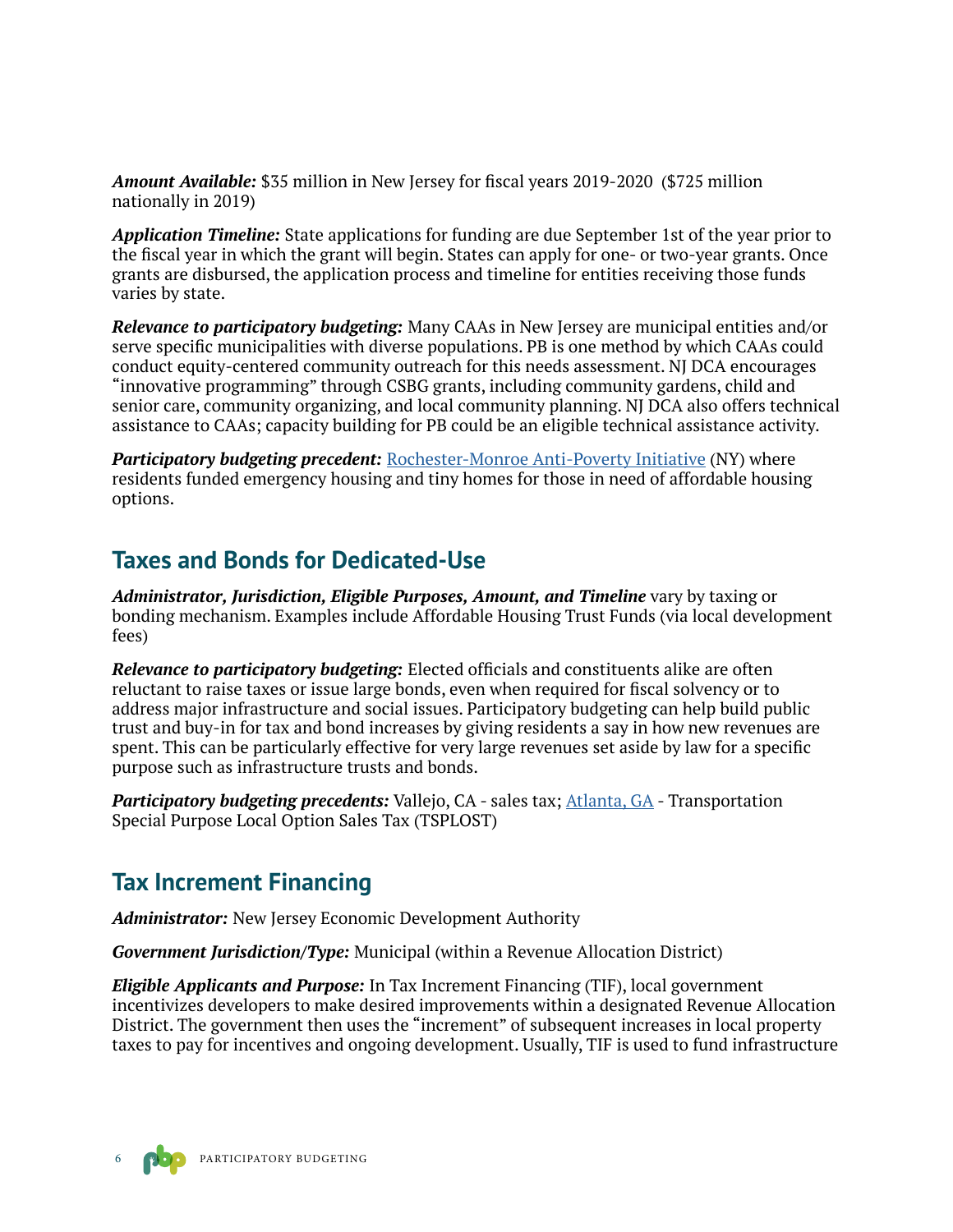*Amount Available:* \$35 million in New Jersey for fiscal years 2019-2020 (\$725 million nationally in 2019)

*Application Timeline:* State applications for funding are due September 1st of the year prior to the fiscal year in which the grant will begin. States can apply for one- or two-year grants. Once grants are disbursed, the application process and timeline for entities receiving those funds varies by state.

*Relevance to participatory budgeting:* Many CAAs in New Jersey are municipal entities and/or serve specific municipalities with diverse populations. PB is one method by which CAAs could conduct equity-centered community outreach for this needs assessment. NJ DCA encourages "innovative programming" through CSBG grants, including community gardens, child and senior care, community organizing, and local community planning. NJ DCA also offers technical assistance to CAAs; capacity building for PB could be an eligible technical assistance activity.

*Participatory budgeting precedent: [Rochester-Monroe Anti-Poverty Initiative](https://www.pbcan.org/issues/affordable-homes/) (NY) where* residents funded emergency housing and tiny homes for those in need of affordable housing options.

#### **Taxes and Bonds for Dedicated-Use**

*Administrator, Jurisdiction, Eligible Purposes, Amount, and Timeline* vary by taxing or bonding mechanism. Examples include Affordable Housing Trust Funds (via local development fees)

*Relevance to participatory budgeting:* Elected officials and constituents alike are often reluctant to raise taxes or issue large bonds, even when required for fiscal solvency or to address major infrastructure and social issues. Participatory budgeting can help build public trust and buy-in for tax and bond increases by giving residents a say in how new revenues are spent. This can be particularly effective for very large revenues set aside by law for a specific purpose such as infrastructure trusts and bonds.

*Participatory budgeting precedents:* Vallejo, CA - sales tax; [Atlanta, GA](https://cityspeak26-dot-protocord.appspot.com/) - Transportation Special Purpose Local Option Sales Tax (TSPLOST)

#### **Tax Increment Financing**

*Administrator:* New Jersey Economic Development Authority

*Government Jurisdiction/Type:* Municipal (within a Revenue Allocation District)

*Eligible Applicants and Purpose:* In Tax Increment Financing (TIF), local government incentivizes developers to make desired improvements within a designated Revenue Allocation District. The government then uses the "increment" of subsequent increases in local property taxes to pay for incentives and ongoing development. Usually, TIF is used to fund infrastructure

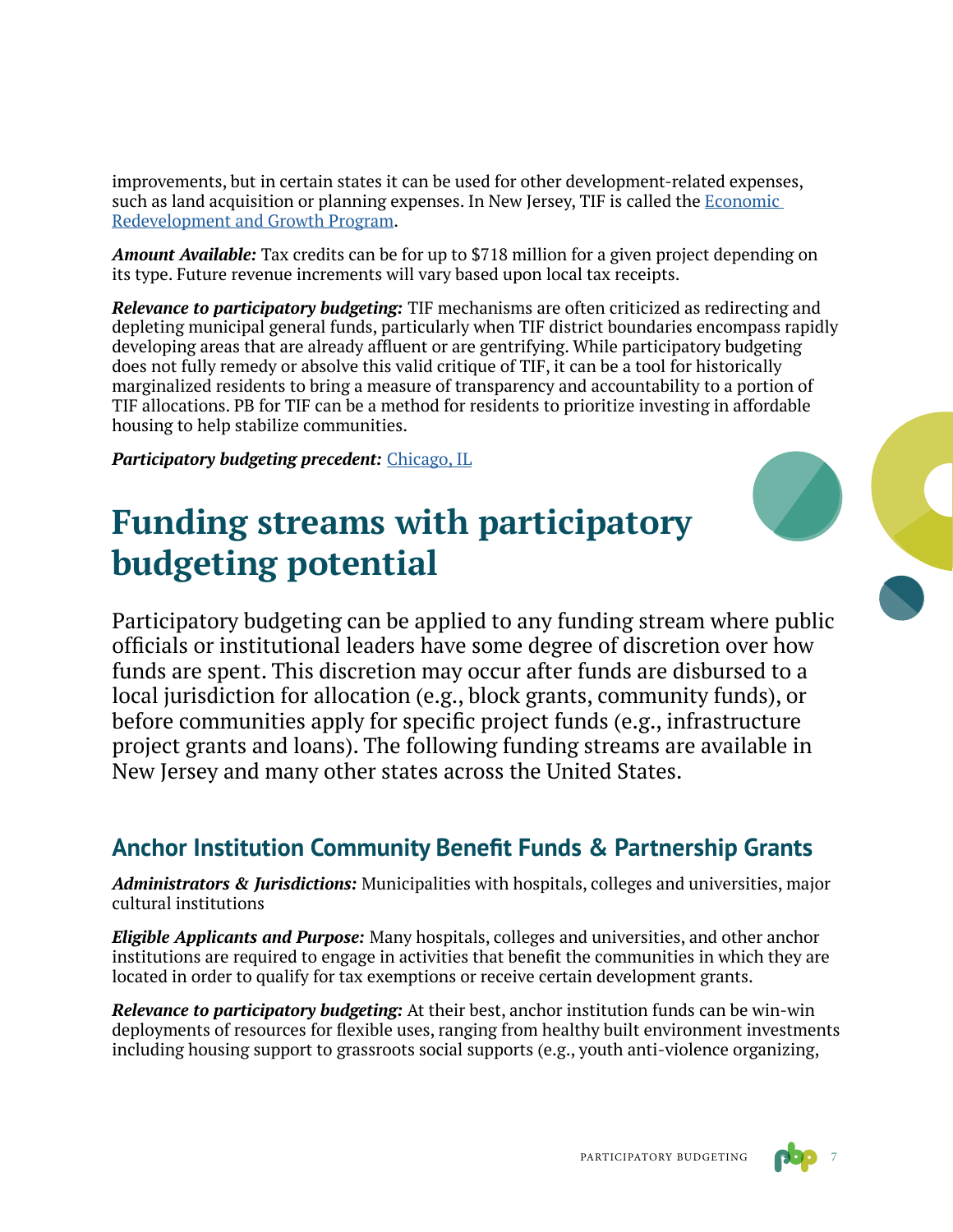improvements, but in certain states it can be used for other development-related expenses, such as land acquisition or planning expenses. In New Jersey, TIF is called the [Economic](https://www.njeda.com/large_business/economic_redevelopment_growth)  [Redevelopment and Growth Program](https://www.njeda.com/large_business/economic_redevelopment_growth).

*Amount Available:* Tax credits can be for up to \$718 million for a given project depending on its type. Future revenue increments will vary based upon local tax receipts.

*Relevance to participatory budgeting:* TIF mechanisms are often criticized as redirecting and depleting municipal general funds, particularly when TIF district boundaries encompass rapidly developing areas that are already affluent or are gentrifying. While participatory budgeting does not fully remedy or absolve this valid critique of TIF, it can be a tool for historically marginalized residents to bring a measure of transparency and accountability to a portion of TIF allocations. PB for TIF can be a method for residents to prioritize investing in affordable housing to help stabilize communities.

*Participatory budgeting precedent:* [Chicago, IL](https://www.pbcan.org/issues/climate-resilience/)

# **Funding streams with participatory budgeting potential**

Participatory budgeting can be applied to any funding stream where public officials or institutional leaders have some degree of discretion over how funds are spent. This discretion may occur after funds are disbursed to a local jurisdiction for allocation (e.g., block grants, community funds), or before communities apply for specific project funds (e.g., infrastructure project grants and loans). The following funding streams are available in New Jersey and many other states across the United States.

### **Anchor Institution Community Benefit Funds & Partnership Grants**

*Administrators & Jurisdictions:* Municipalities with hospitals, colleges and universities, major cultural institutions

*Eligible Applicants and Purpose:* Many hospitals, colleges and universities, and other anchor institutions are required to engage in activities that benefit the communities in which they are located in order to qualify for tax exemptions or receive certain development grants.

*Relevance to participatory budgeting:* At their best, anchor institution funds can be win-win deployments of resources for flexible uses, ranging from healthy built environment investments including housing support to grassroots social supports (e.g., youth anti-violence organizing,

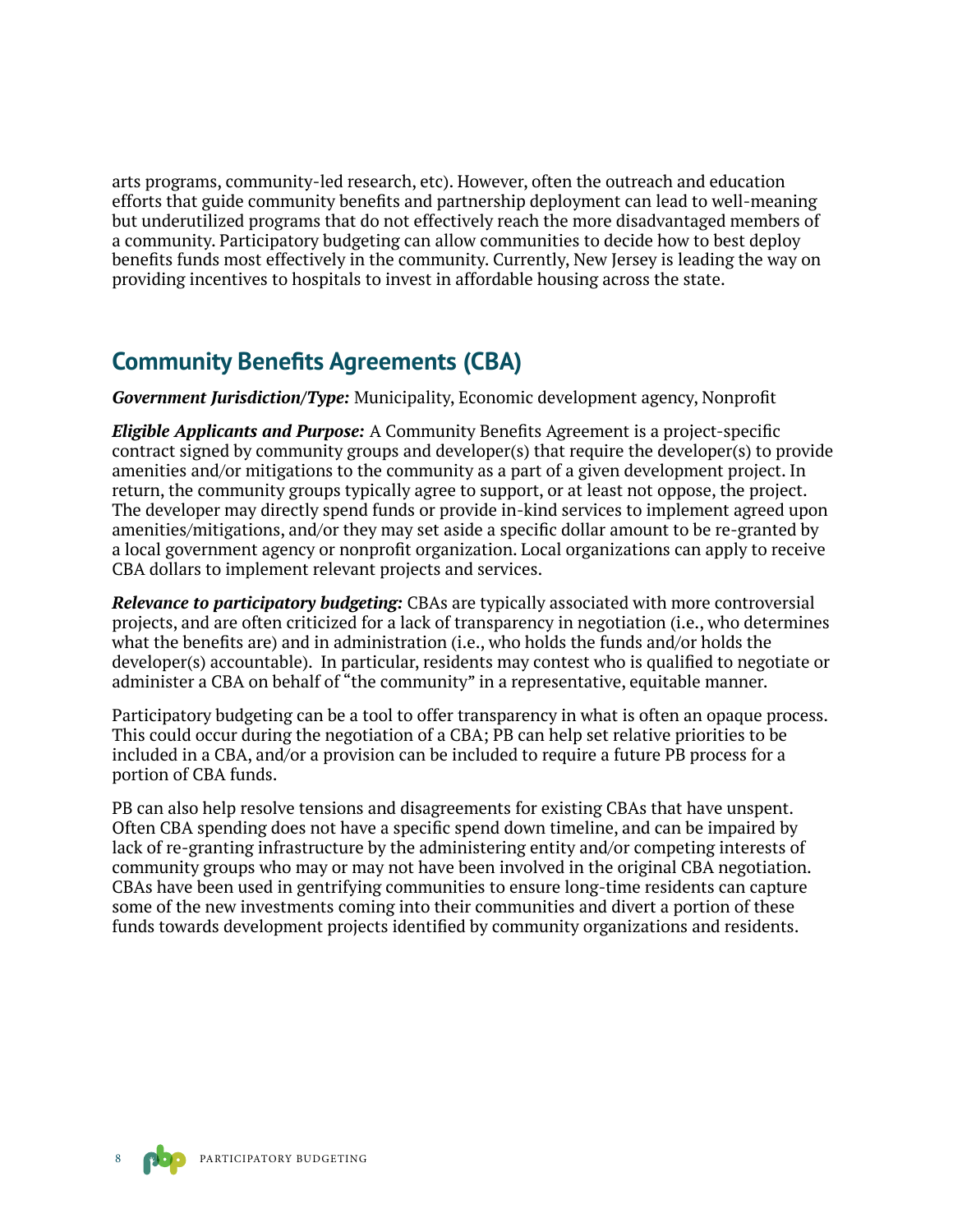arts programs, community-led research, etc). However, often the outreach and education efforts that guide community benefits and partnership deployment can lead to well-meaning but underutilized programs that do not effectively reach the more disadvantaged members of a community. Participatory budgeting can allow communities to decide how to best deploy benefits funds most effectively in the community. Currently, New Jersey is leading the way on providing incentives to hospitals to invest in affordable housing across the state.

#### **Community Benefits Agreements (CBA)**

*Government Jurisdiction/Type:* Municipality, Economic development agency, Nonprofit

*Eligible Applicants and Purpose:* A Community Benefits Agreement is a project-specific contract signed by community groups and developer(s) that require the developer(s) to provide amenities and/or mitigations to the community as a part of a given development project. In return, the community groups typically agree to support, or at least not oppose, the project. The developer may directly spend funds or provide in-kind services to implement agreed upon amenities/mitigations, and/or they may set aside a specific dollar amount to be re-granted by a local government agency or nonprofit organization. Local organizations can apply to receive CBA dollars to implement relevant projects and services.

*Relevance to participatory budgeting:* CBAs are typically associated with more controversial projects, and are often criticized for a lack of transparency in negotiation (i.e., who determines what the benefits are) and in administration (i.e., who holds the funds and/or holds the developer(s) accountable). In particular, residents may contest who is qualified to negotiate or administer a CBA on behalf of "the community" in a representative, equitable manner.

Participatory budgeting can be a tool to offer transparency in what is often an opaque process. This could occur during the negotiation of a CBA; PB can help set relative priorities to be included in a CBA, and/or a provision can be included to require a future PB process for a portion of CBA funds.

PB can also help resolve tensions and disagreements for existing CBAs that have unspent. Often CBA spending does not have a specific spend down timeline, and can be impaired by lack of re-granting infrastructure by the administering entity and/or competing interests of community groups who may or may not have been involved in the original CBA negotiation. CBAs have been used in gentrifying communities to ensure long-time residents can capture some of the new investments coming into their communities and divert a portion of these funds towards development projects identified by community organizations and residents.

PARTICIPATORY BUDGETING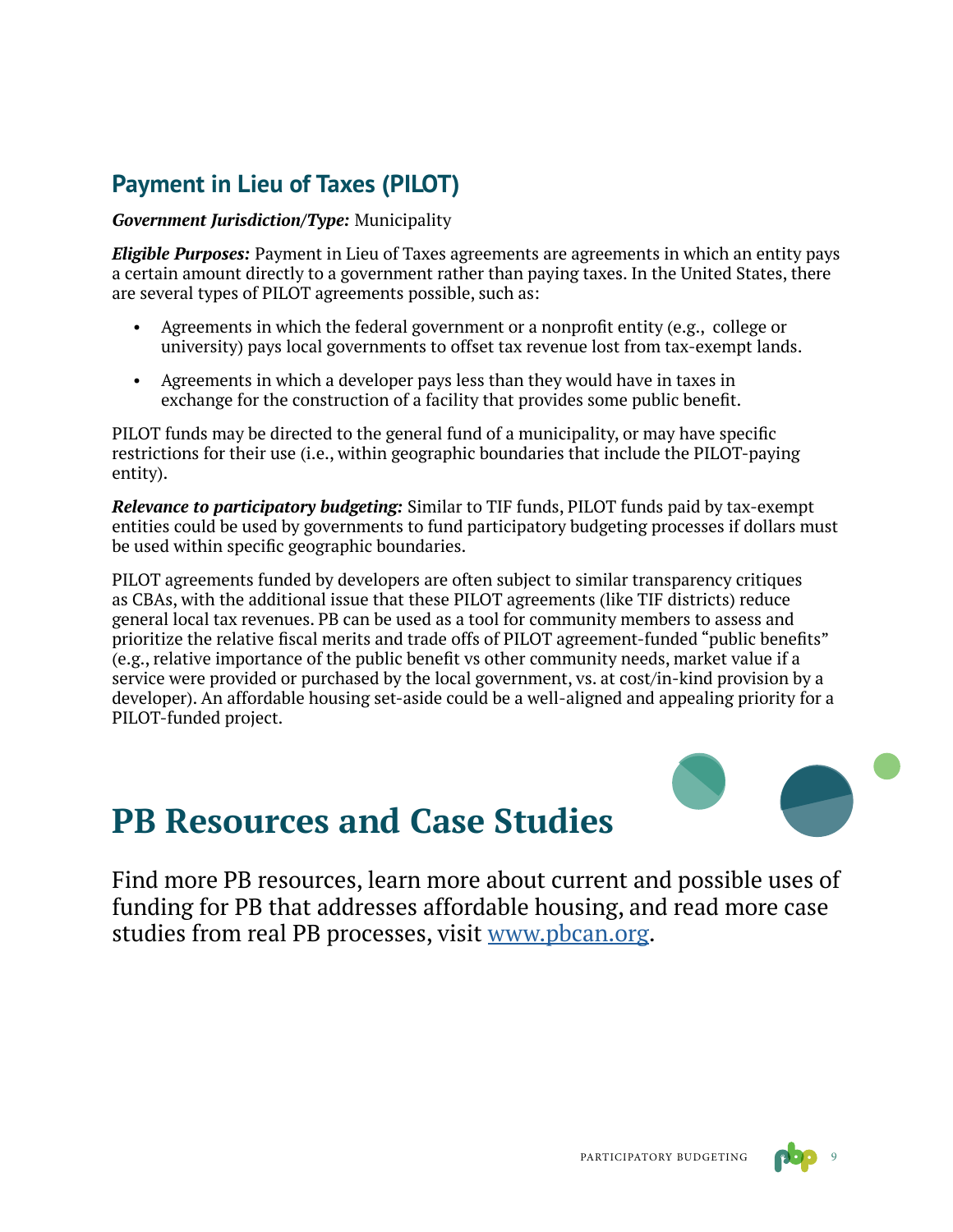### **Payment in Lieu of Taxes (PILOT)**

#### *Government Jurisdiction/Type:* Municipality

*Eligible Purposes:* Payment in Lieu of Taxes agreements are agreements in which an entity pays a certain amount directly to a government rather than paying taxes. In the United States, there are several types of PILOT agreements possible, such as:

- Agreements in which the federal government or a nonprofit entity (e.g., college or university) pays local governments to offset tax revenue lost from tax-exempt lands.
- Agreements in which a developer pays less than they would have in taxes in exchange for the construction of a facility that provides some public benefit.

PILOT funds may be directed to the general fund of a municipality, or may have specific restrictions for their use (i.e., within geographic boundaries that include the PILOT-paying entity).

*Relevance to participatory budgeting:* Similar to TIF funds, PILOT funds paid by tax-exempt entities could be used by governments to fund participatory budgeting processes if dollars must be used within specific geographic boundaries.

PILOT agreements funded by developers are often subject to similar transparency critiques as CBAs, with the additional issue that these PILOT agreements (like TIF districts) reduce general local tax revenues. PB can be used as a tool for community members to assess and prioritize the relative fiscal merits and trade offs of PILOT agreement-funded "public benefits" (e.g., relative importance of the public benefit vs other community needs, market value if a service were provided or purchased by the local government, vs. at cost/in-kind provision by a developer). An affordable housing set-aside could be a well-aligned and appealing priority for a PILOT-funded project.



## **PB Resources and Case Studies**

Find more PB resources, learn more about current and possible uses of funding for PB that addresses affordable housing, and read more case studies from real PB processes, visit [www.pbcan.org](http://www.pbcan.org).